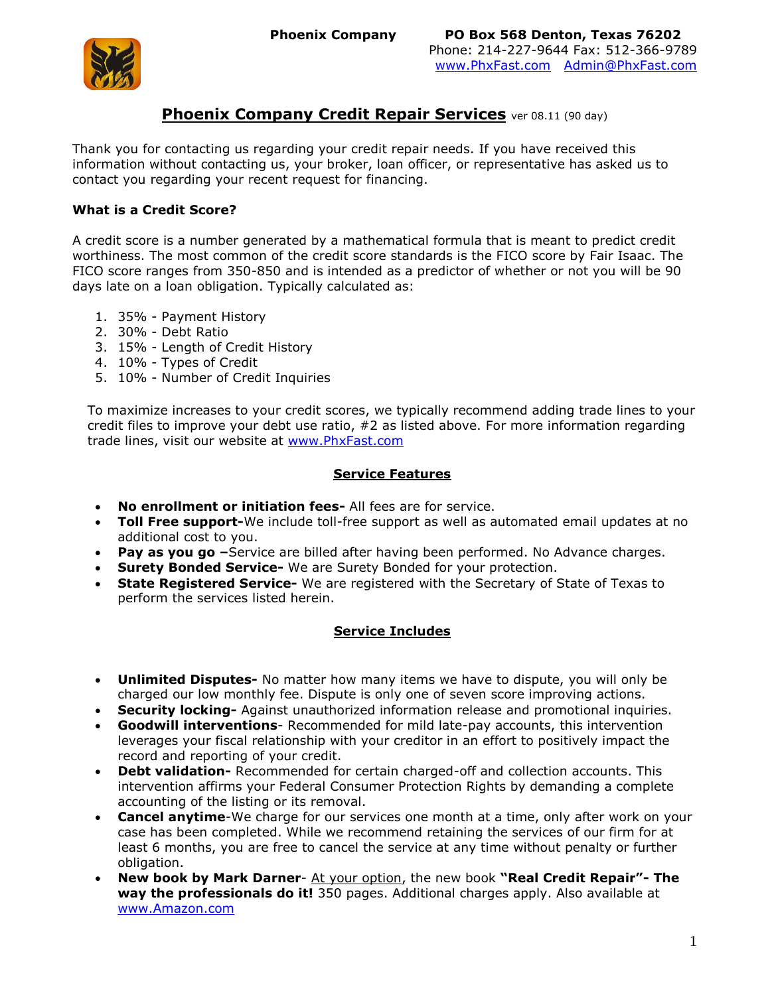

## **Phoenix Company Credit Repair Services** ver 08.11 (90 day)

Thank you for contacting us regarding your credit repair needs. If you have received this information without contacting us, your broker, loan officer, or representative has asked us to contact you regarding your recent request for financing.

### **What is a Credit Score?**

A credit score is a number generated by a mathematical formula that is meant to predict credit worthiness. The most common of the credit score standards is the FICO score by Fair Isaac. The FICO score ranges from 350-850 and is intended as a predictor of whether or not you will be 90 days late on a loan obligation. Typically calculated as:

- 1. 35% Payment History
- 2. 30% Debt Ratio
- 3. 15% Length of Credit History
- 4. 10% Types of Credit
- 5. 10% Number of Credit Inquiries

To maximize increases to your credit scores, we typically recommend adding trade lines to your credit files to improve your debt use ratio, #2 as listed above. For more information regarding trade lines, visit our website at [www.PhxFast.com](http://www.phxfast.com/)

### **Service Features**

- **No enrollment or initiation fees-** All fees are for service.
- **Toll Free support-**We include toll-free support as well as automated email updates at no additional cost to you.
- **Pay as you go –**Service are billed after having been performed. No Advance charges.
- **Surety Bonded Service-** We are Surety Bonded for your protection.
- **State Registered Service-** We are registered with the Secretary of State of Texas to perform the services listed herein.

### **Service Includes**

- **Unlimited Disputes-** No matter how many items we have to dispute, you will only be charged our low monthly fee. Dispute is only one of seven score improving actions.
- **Security locking-** Against unauthorized information release and promotional inquiries.
- **Goodwill interventions** Recommended for mild late-pay accounts, this intervention leverages your fiscal relationship with your creditor in an effort to positively impact the record and reporting of your credit.
- **Debt validation-** Recommended for certain charged-off and collection accounts. This intervention affirms your Federal Consumer Protection Rights by demanding a complete accounting of the listing or its removal.
- **Cancel anytime**-We charge for our services one month at a time, only after work on your case has been completed. While we recommend retaining the services of our firm for at least 6 months, you are free to cancel the service at any time without penalty or further obligation.
- **New book by Mark Darner** At your option, the new book **"Real Credit Repair"- The way the professionals do it!** 350 pages. Additional charges apply. Also available at [www.Amazon.com](http://www.amazon.com/)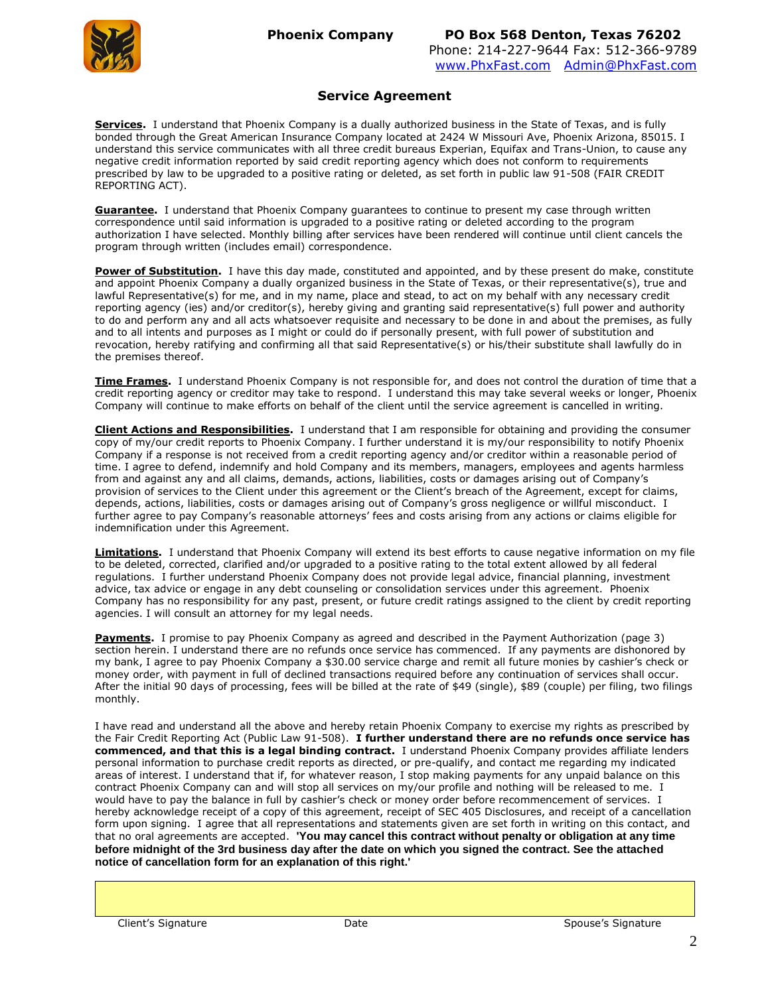

#### **Service Agreement**

**Services.** I understand that Phoenix Company is a dually authorized business in the State of Texas, and is fully bonded through the Great American Insurance Company located at 2424 W Missouri Ave, Phoenix Arizona, 85015. I understand this service communicates with all three credit bureaus Experian, Equifax and Trans-Union, to cause any negative credit information reported by said credit reporting agency which does not conform to requirements prescribed by law to be upgraded to a positive rating or deleted, as set forth in public law 91-508 (FAIR CREDIT REPORTING ACT).

**Guarantee.** I understand that Phoenix Company quarantees to continue to present my case through written correspondence until said information is upgraded to a positive rating or deleted according to the program authorization I have selected. Monthly billing after services have been rendered will continue until client cancels the program through written (includes email) correspondence.

**Power of Substitution.** I have this day made, constituted and appointed, and by these present do make, constitute and appoint Phoenix Company a dually organized business in the State of Texas, or their representative(s), true and lawful Representative(s) for me, and in my name, place and stead, to act on my behalf with any necessary credit reporting agency (ies) and/or creditor(s), hereby giving and granting said representative(s) full power and authority to do and perform any and all acts whatsoever requisite and necessary to be done in and about the premises, as fully and to all intents and purposes as I might or could do if personally present, with full power of substitution and revocation, hereby ratifying and confirming all that said Representative(s) or his/their substitute shall lawfully do in the premises thereof.

**Time Frames.** I understand Phoenix Company is not responsible for, and does not control the duration of time that a credit reporting agency or creditor may take to respond. I understand this may take several weeks or longer, Phoenix Company will continue to make efforts on behalf of the client until the service agreement is cancelled in writing.

**Client Actions and Responsibilities.** I understand that I am responsible for obtaining and providing the consumer copy of my/our credit reports to Phoenix Company. I further understand it is my/our responsibility to notify Phoenix Company if a response is not received from a credit reporting agency and/or creditor within a reasonable period of time. I agree to defend, indemnify and hold Company and its members, managers, employees and agents harmless from and against any and all claims, demands, actions, liabilities, costs or damages arising out of Company's provision of services to the Client under this agreement or the Client's breach of the Agreement, except for claims, depends, actions, liabilities, costs or damages arising out of Company's gross negligence or willful misconduct. I further agree to pay Company's reasonable attorneys' fees and costs arising from any actions or claims eligible for indemnification under this Agreement.

**Limitations.** I understand that Phoenix Company will extend its best efforts to cause negative information on my file to be deleted, corrected, clarified and/or upgraded to a positive rating to the total extent allowed by all federal regulations. I further understand Phoenix Company does not provide legal advice, financial planning, investment advice, tax advice or engage in any debt counseling or consolidation services under this agreement. Phoenix Company has no responsibility for any past, present, or future credit ratings assigned to the client by credit reporting agencies. I will consult an attorney for my legal needs.

**Payments.** I promise to pay Phoenix Company as agreed and described in the Payment Authorization (page 3) section herein. I understand there are no refunds once service has commenced. If any payments are dishonored by my bank, I agree to pay Phoenix Company a \$30.00 service charge and remit all future monies by cashier's check or money order, with payment in full of declined transactions required before any continuation of services shall occur. After the initial 90 days of processing, fees will be billed at the rate of \$49 (single), \$89 (couple) per filing, two filings monthly.

I have read and understand all the above and hereby retain Phoenix Company to exercise my rights as prescribed by the Fair Credit Reporting Act (Public Law 91-508). **I further understand there are no refunds once service has commenced, and that this is a legal binding contract.** I understand Phoenix Company provides affiliate lenders personal information to purchase credit reports as directed, or pre-qualify, and contact me regarding my indicated areas of interest. I understand that if, for whatever reason, I stop making payments for any unpaid balance on this contract Phoenix Company can and will stop all services on my/our profile and nothing will be released to me. I would have to pay the balance in full by cashier's check or money order before recommencement of services. I hereby acknowledge receipt of a copy of this agreement, receipt of SEC 405 Disclosures, and receipt of a cancellation form upon signing. I agree that all representations and statements given are set forth in writing on this contact, and that no oral agreements are accepted. **'You may cancel this contract without penalty or obligation at any time before midnight of the 3rd business day after the date on which you signed the contract. See the attached notice of cancellation form for an explanation of this right.'**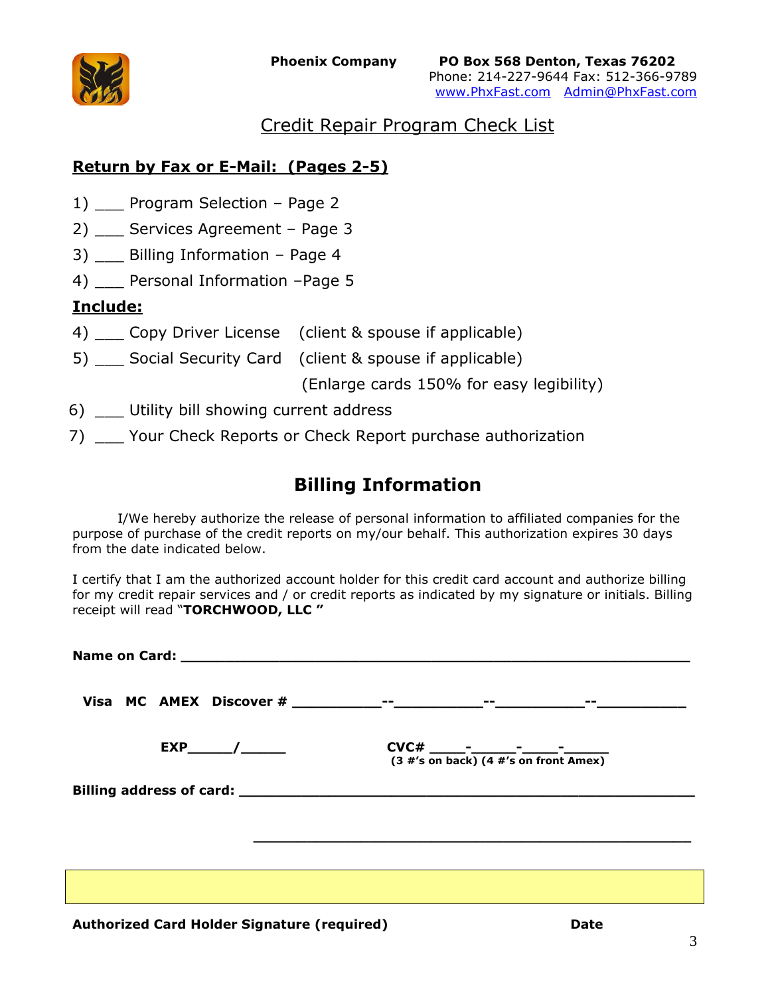

# Credit Repair Program Check List

# **Return by Fax or E-Mail: (Pages 2-5)**

- 1) Program Selection Page 2
- 2) \_\_\_ Services Agreement Page 3
- 3) Billing Information Page 4
- 4) \_\_\_ Personal Information -Page 5

# **Include:**

- 4) Copy Driver License (client & spouse if applicable)
- 5) \_\_\_ Social Security Card (client & spouse if applicable)

(Enlarge cards 150% for easy legibility)

- 6) Utility bill showing current address
- 7) \_\_\_ Your Check Reports or Check Report purchase authorization

# **Billing Information**

I/We hereby authorize the release of personal information to affiliated companies for the purpose of purchase of the credit reports on my/our behalf. This authorization expires 30 days from the date indicated below.

I certify that I am the authorized account holder for this credit card account and authorize billing for my credit repair services and / or credit reports as indicated by my signature or initials. Billing receipt will read "**TORCHWOOD, LLC "**

|  | $CVC#$ - $-$ - $-$ - $-$ - $-$ - $-$ - $(3 \# 's \text{ on back}) (4 \# 's \text{ on front }$ Amex) |
|--|-----------------------------------------------------------------------------------------------------|
|  |                                                                                                     |
|  |                                                                                                     |
|  |                                                                                                     |
|  |                                                                                                     |
|  |                                                                                                     |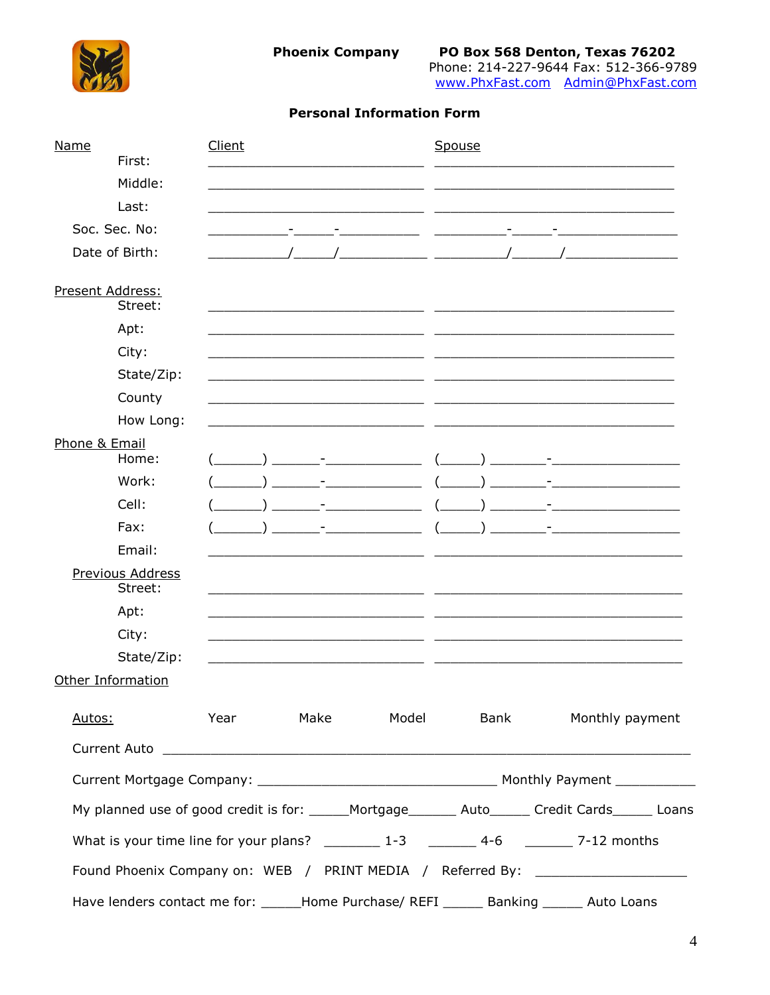

**Phoenix Company** 

## **Personal Information Form**

| Name<br>First:                     | Client |  |  | Spouse               |                                                                                                      |
|------------------------------------|--------|--|--|----------------------|------------------------------------------------------------------------------------------------------|
| Middle:                            |        |  |  |                      |                                                                                                      |
| Last:                              |        |  |  |                      |                                                                                                      |
| Soc. Sec. No:                      |        |  |  |                      |                                                                                                      |
| Date of Birth:                     |        |  |  |                      |                                                                                                      |
|                                    |        |  |  |                      |                                                                                                      |
| Present Address:<br>Street:        |        |  |  |                      |                                                                                                      |
| Apt:                               |        |  |  |                      |                                                                                                      |
| City:                              |        |  |  |                      |                                                                                                      |
| State/Zip:                         |        |  |  |                      |                                                                                                      |
| County                             |        |  |  |                      |                                                                                                      |
| How Long:                          |        |  |  |                      |                                                                                                      |
| Phone & Email<br>Home:             |        |  |  |                      |                                                                                                      |
| Work:                              |        |  |  |                      |                                                                                                      |
| Cell:                              |        |  |  |                      |                                                                                                      |
| Fax:                               |        |  |  |                      |                                                                                                      |
| Email:                             |        |  |  |                      |                                                                                                      |
| <b>Previous Address</b><br>Street: |        |  |  |                      |                                                                                                      |
| Apt:                               |        |  |  |                      |                                                                                                      |
| City:                              |        |  |  |                      |                                                                                                      |
| State/Zip:                         |        |  |  |                      |                                                                                                      |
| <b>Other Information</b>           |        |  |  |                      |                                                                                                      |
| Autos:                             |        |  |  | Year Make Model Bank | Monthly payment                                                                                      |
|                                    |        |  |  |                      |                                                                                                      |
|                                    |        |  |  |                      |                                                                                                      |
|                                    |        |  |  |                      | My planned use of good credit is for: _____Mortgage_______ Auto______ Credit Cards______ Loans       |
|                                    |        |  |  |                      | What is your time line for your plans? $\frac{1}{2}$ 1-3 $\frac{1}{2}$ 4-6 $\frac{1}{2}$ 7-12 months |
|                                    |        |  |  |                      | Found Phoenix Company on: WEB / PRINT MEDIA / Referred By: _____________________                     |
|                                    |        |  |  |                      | Have lenders contact me for: ______Home Purchase/ REFI _______ Banking _______ Auto Loans            |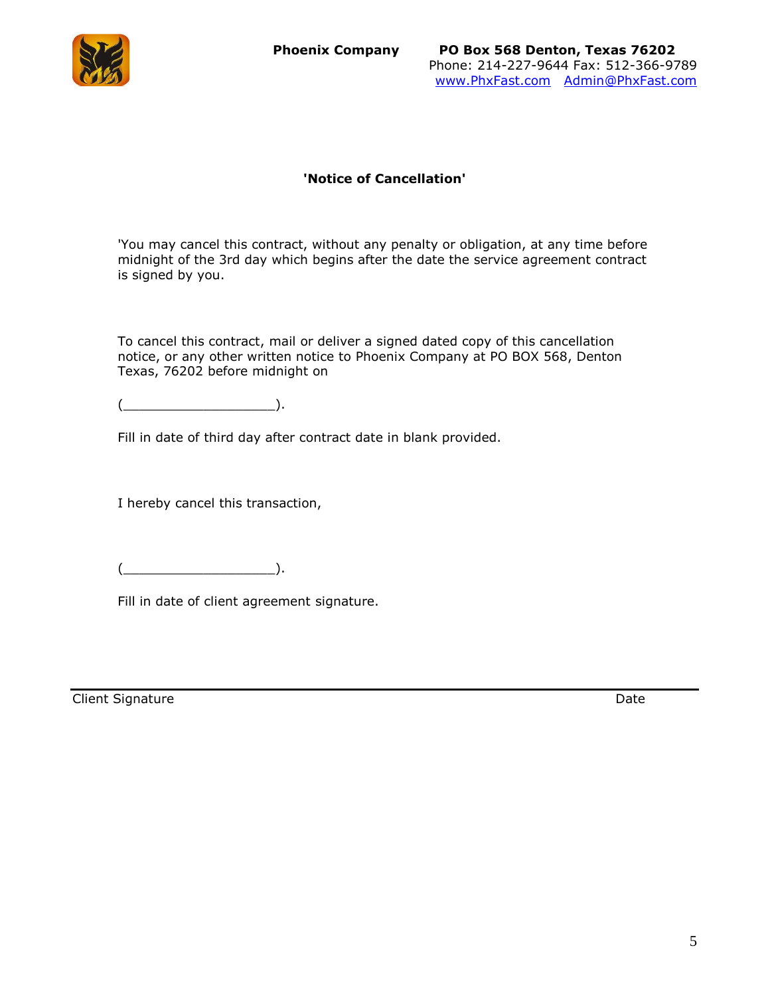

### **'Notice of Cancellation'**

'You may cancel this contract, without any penalty or obligation, at any time before midnight of the 3rd day which begins after the date the service agreement contract is signed by you.

To cancel this contract, mail or deliver a signed dated copy of this cancellation notice, or any other written notice to Phoenix Company at PO BOX 568, Denton Texas, 76202 before midnight on

 $(\underline{\hspace{1.5cm}})$ .

Fill in date of third day after contract date in blank provided.

I hereby cancel this transaction,

 $($ 

Fill in date of client agreement signature.

**Client Signature** Date